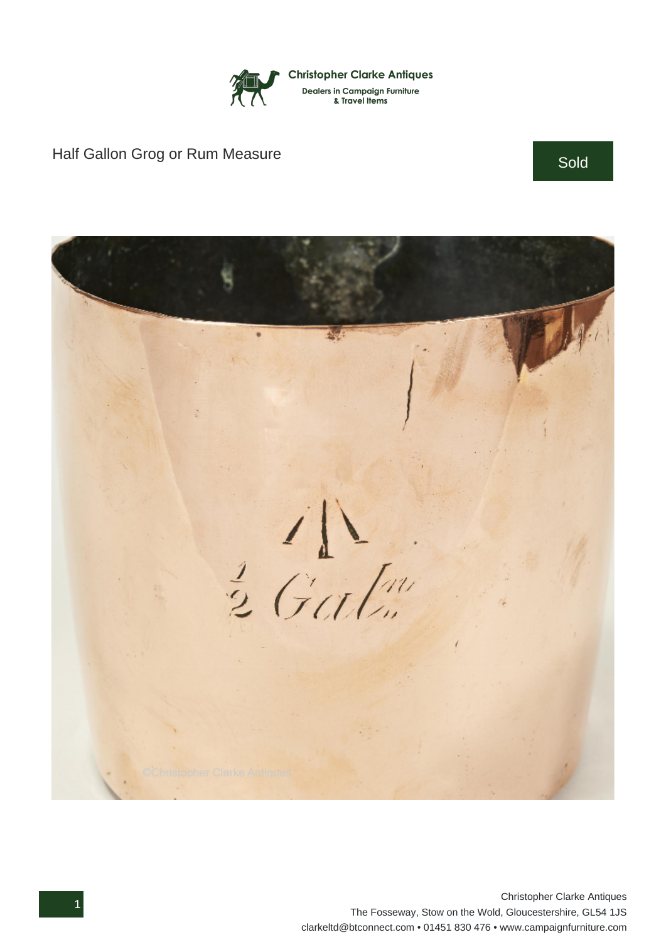

## Half Gallon Grog or Rum Measure Sold Sold